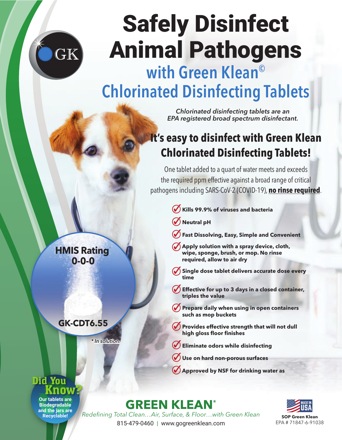

# Safely Disinfect Animal Pathogens

## with Green Klean<sup>©</sup> Chlorinated Disinfecting Tablets

*Chlorinated disinfecting tablets are an EPA registered broad spectrum disinfectant.*

### **It's easy to disinfect with Green Klean Chlorinated Disinfecting Tablets!**

One tablet added to a quart of water meets and exceeds the required ppm effective against a broad range of critical pathogens including SARS-CoV-2 (COVID-19), **no rinse required**.

- **Kills 99.9% of viruses and bacteria**
- $\mathcal O$  Neutral pH
- **Fast Dissolving, Easy, Simple and Convenient**
- **Apply solution with a spray device, cloth, wipe, sponge, brush, or mop. No rinse required, allow to air dry**
- Single dose tablet delivers accurate dose every **time**
- $\blacklozenge$  Effective for up to 3 days in a closed container, **triples the value**
- **Prepare daily when using in open containers such as mop buckets**
- **Provides effective strength that will not dull high gloss floor finishes**
- **Eliminate odors while disinfecting**
- **Use on hard non-porous surfaces**
- **Approved by NSF for drinking water as**

**GREEN KLEAN®**

*Redefining Total Clean…Air, Surface, & Floor…with Green Klean* 815-479-0460 | www.gogreenklean.com



**SOP Green Klean** EPA # 71847-6-91038

#### **HMIS Rating**\* **0-0-0**

#### **GK-CDT6.55**

*\* In solution.*

#### Did You Know?

**Our tablets are Biodegradable and the jars are Recyclable!**